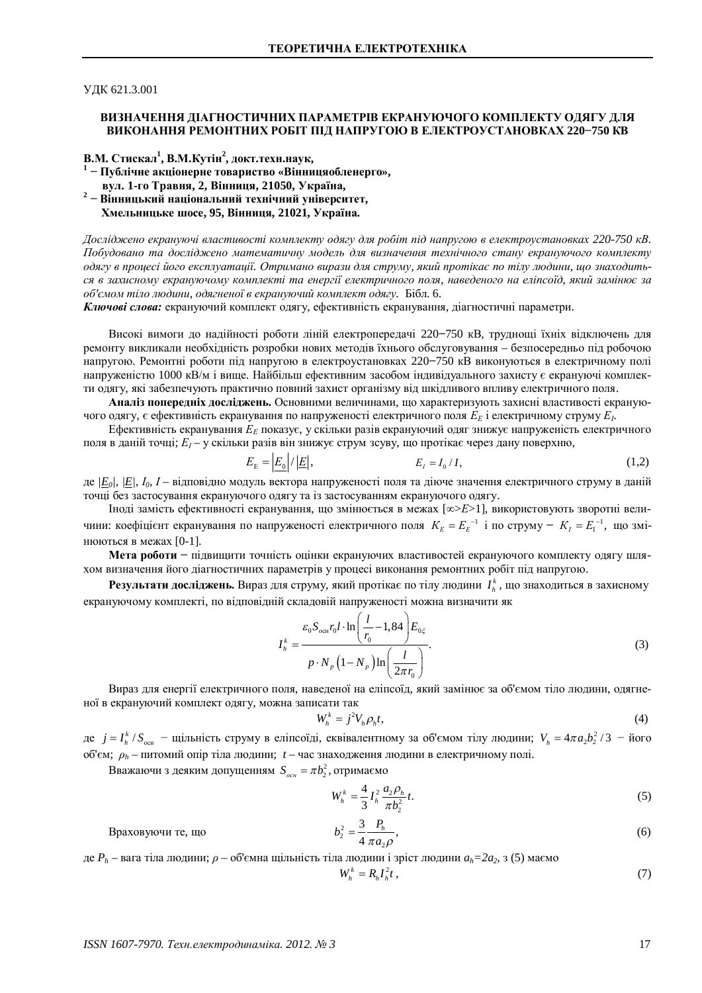УДК 621.3.001

## ВИЗНАЧЕННЯ ДІАГНОСТИЧНИХ ПАРАМЕТРІВ ЕКРАНУЮЧОГО КОМПЛЕКТУ ОДЯГУ ДЛЯ ВИКОНАННЯ РЕМОНТНИХ РОБІТ ПІД НАПРУГОЮ В ЕЛЕКТРОУСТАНОВКАХ 220-750 КВ

**В.М. Стискал<sup>1</sup>, В.М.Кутін<sup>2</sup>, докт.техн.наук,** 

- <sup>1</sup> Публічне акціонерне товариство «Вінницяобленерго»,  $B$ ул. 1-го Травня, 2, Вінниця, 21050, Україна,
- <sup>2</sup> Вінницький національний технічний університет,  $X$ мельницьке шосе, 95, Вінниця, 21021, Україна.

*Ⱦɨɫɥɿɞɠɟɧɨɟɤɪɚɧɭɸɱɿɜɥɚɫɬɢɜɨɫɬɿɤɨɦɩɥɟɤɬɭɨɞɹɝɭɞɥɹɪɨɛɿɬɩɿɞɧɚɩɪɭɝɨɸɜɟɥɟɤɬɪɨɭɫɬɚɧɨɜɤɚɯ 220-750 ɤȼ.*  $\overline{H}$ обудовано та досліджено математичну модель для визначення технічного стану екрануючого комплекту  $\overline{OAz}$ y в процесі його експлуатації. Отримано вирази для струму, який протікає по тілу людини, що знаходиться в захисному екрануючому комплекті та енергії електричного поля, наведеного на еліпсоїд, який замінює за  $o$ б'ємом тіло людини, одягненої в екрануючий комплект одягу. Бібл. 6.

**Ключові слова:** екрануючий комплект одягу, ефективність екранування, діагностичні параметри.

Високі вимоги до надійності роботи ліній електропередачі 220–750 кВ, труднощі їхніх відключень для ремонту викликали необхідність розробки нових методів їхнього обслуговування – безпосередньо під робочою напругою. Ремонтні роботи під напругою в електроустановках 220-750 кВ виконуються в електричному полі напруженістю 1000 кВ/м і вище. Найбільш ефективним засобом індивідуального захисту є екрануючі комплекти одягу, які забезпечують практично повний захист організму від шкідливого впливу електричного поля.

Аналіз попередніх досліджень. Основними величинами, що характеризують захисні властивості екрануючого одягу, є ефективність екранування по напруженості електричного поля  $E_E$  і електричному струму  $E_I$ .

Ефективність екранування  $E<sub>E</sub>$  показує, у скільки разів екрануючий одяг знижує напруженість електричного поля в даній точці;  $E_I$  — у скільки разів він знижує струм зсуву, що протікає через дану поверхню,

$$
E_{\rm E} = \left| \frac{E_0}{|E|} \right|, \qquad E_I = I_0 / I,\tag{1,2}
$$

де <u>[E</u><sub>0</sub>/, <u>|E</u>], *I*<sub>0</sub>, *I* – відповідно модуль вектора напруженості поля та діюче значення електричного струму в даній точці без застосування екрануючого одягу та із застосуванням екрануючого одягу.

Іноді замість ефективності екранування, що змінюється в межах [∞>E>1], використовують зворотні величини: коефіцієнт екранування по напруженості електричного поля  $K_E = E_E^{-1}$  і по струму  $K_I = E_1^{-1}$ , що змінюються в межах [0-1].

Мета роботи - підвищити точність оцінки екрануючих властивостей екрануючого комплекту одягу шляхом визначення його діагностичних параметрів у процесі виконання ремонтних робіт під напругою.

Результати досліджень. Вираз для струму, який протікає по тілу людини  $I_h^k$ , що знаходиться в захисному екрануючому комплекті, по відповідній складовій напруженості можна визначити як

$$
I_h^k = \frac{\varepsilon_0 S_{\text{och}} r_0 l \cdot \ln\left(\frac{l}{r_0} - 1,84\right) E_{0\xi}}{p \cdot N_p \left(1 - N_p\right) \ln\left(\frac{l}{2\pi r_0}\right)}.
$$
\n(3)

Вираз для енергії електричного поля, наведеної на еліпсоїд, який замінює за об'ємом тіло людини, одягненої в екрануючий комплект одягу, можна записати так

$$
W_h^k = j^2 V_h \rho_h t,\tag{4}
$$

де  $j = I_h^k / S_{\text{ocft}} - \text{I}\{\text{I}}$ льність струму в еліпсоїді, еквівалентному за об'ємом тілу людини;  $V_h = 4\pi a_2 b_2^2 / 3 - \text{Moro}$ об'єм;  $\rho_h$  – питомий опір тіла людини; *t* – час знаходження людини в електричному полі.

Bважаючи з деяким допущенням  $S_{\text{och}} = \pi b_2^2$ , отримаємо

$$
W_h^k = \frac{4}{3} I_h^2 \frac{a_2 \rho_h}{\pi b_2^2} t. \tag{5}
$$

Враховуючи те, що

$$
b_2^2 = \frac{3}{4} \frac{P_h}{\pi a_2 \rho},\tag{6}
$$

де  $P_h$  – вага тіла людини;  $\rho$  – об'ємна щільність тіла людини і зріст людини  $a_h$ =2a<sub>2</sub>, з (5) маємо

$$
W_h^k = R_h I_h^2 t \,, \tag{7}
$$